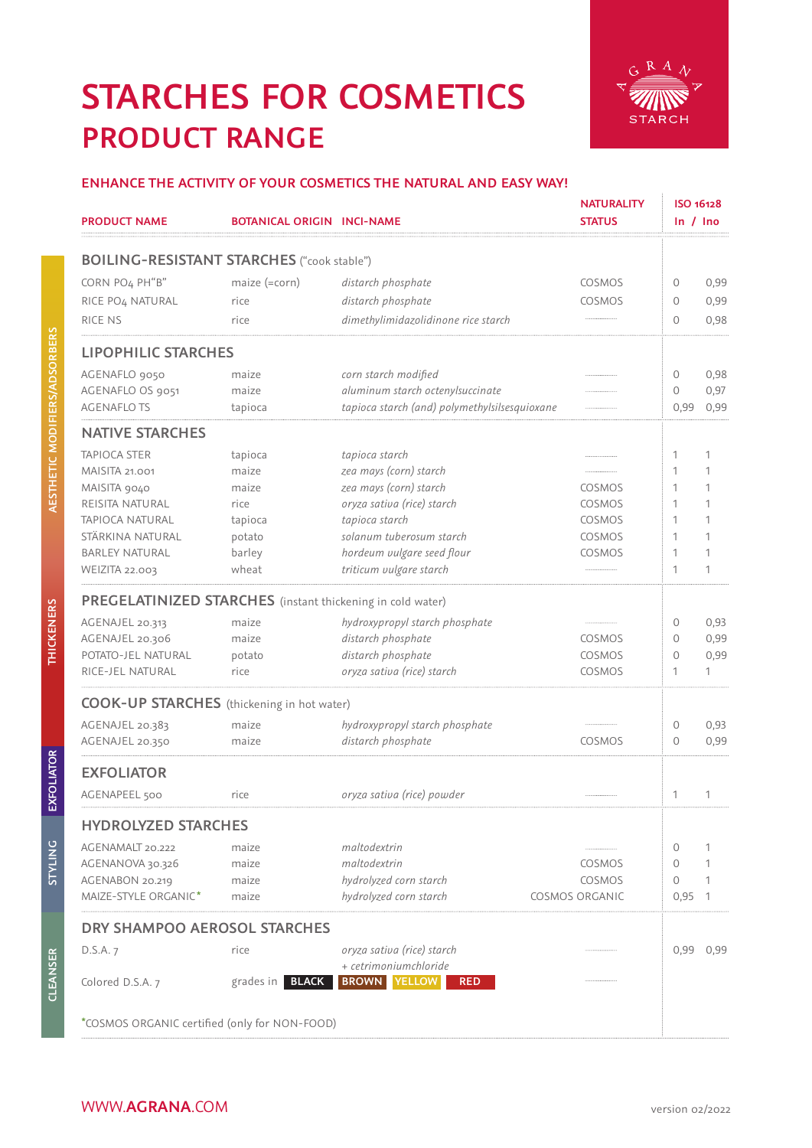## **PRODUCT RANGE STARCHES FOR COSMETICS**



#### **ENHANCE THE ACTIVITY OF YOUR COSMETICS THE NATURAL AND EASY WAY!**

| <b>PRODUCT NAME</b>          | <b>BOTANICAL ORIGIN INCI-NAME</b>                          |                                               | <b>NATURALITY</b><br><b>STATUS</b> | ISO 16128<br>$\ln / \ln$ |                |
|------------------------------|------------------------------------------------------------|-----------------------------------------------|------------------------------------|--------------------------|----------------|
|                              | <b>BOILING-RESISTANT STARCHES</b> ("cook stable")          |                                               |                                    |                          |                |
| CORN PO4 PH"B"               | maize (=corn)                                              | distarch phosphate                            | COSMOS                             | 0                        | 0,99           |
| RICE PO <sub>4</sub> NATURAL | rice                                                       | distarch phosphate                            | COSMOS                             | $\circ$                  | 0,99           |
| RICE NS                      | rice                                                       | dimethylimidazolidinone rice starch           |                                    | $\circ$                  | 0,98           |
| <b>LIPOPHILIC STARCHES</b>   |                                                            |                                               |                                    |                          |                |
| AGENAFLO 9050                | maize                                                      | corn starch modified                          |                                    | $\circ$                  | 0,98           |
| AGENAFLO OS 9051             | maize                                                      | aluminum starch octenylsuccinate              |                                    | $\circ$                  | 0,97           |
| <b>AGENAFLOTS</b>            | tapioca                                                    | tapioca starch (and) polymethylsilsesquioxane |                                    | 0,99                     | 0,99           |
| <b>NATIVE STARCHES</b>       |                                                            |                                               |                                    |                          |                |
| <b>TAPIOCA STER</b>          | tapioca                                                    | tapioca starch                                |                                    | 1                        | 1              |
| <b>MAISITA 21.001</b>        | maize                                                      | zea mays (corn) starch                        |                                    | 1                        | 1              |
| MAISITA 9040                 | maize                                                      | zea mays (corn) starch                        | COSMOS                             | 1                        | 1              |
| REISITA NATURAL              | rice                                                       | oryza sativa (rice) starch                    | COSMOS                             | 1                        | 1              |
| TAPIOCA NATURAL              | tapioca                                                    | tapioca starch                                | COSMOS                             | 1                        | 1              |
| STÄRKINA NATURAL             | potato                                                     | solanum tuberosum starch                      | COSMOS                             | 1                        | 1              |
| <b>BARLEY NATURAL</b>        | barley                                                     | hordeum vulgare seed flour                    | COSMOS                             | 1                        | 1              |
| <b>WEIZITA 22.003</b>        | wheat                                                      | triticum vulgare starch                       |                                    | 1                        | 1              |
|                              | PREGELATINIZED STARCHES (instant thickening in cold water) |                                               |                                    |                          |                |
| AGENAJEL 20.313              | maize                                                      | hydroxypropyl starch phosphate                |                                    | $\circ$                  | 0,93           |
| AGENAJEL 20.306              | maize                                                      | distarch phosphate                            | COSMOS                             | $\circ$                  | 0,99           |
| POTATO-JEL NATURAL           | potato                                                     | distarch phosphate                            | COSMOS                             | $\mathbf{0}$             | 0,99           |
| RICE-JEL NATURAL             | rice                                                       | oryza sativa (rice) starch                    | COSMOS                             | 1                        | 1              |
|                              | <b>COOK-UP STARCHES</b> (thickening in hot water)          |                                               |                                    |                          |                |
| AGENAJEL 20.383              | maize                                                      | hydroxypropyl starch phosphate                |                                    | $\circ$                  | 0,93           |
| AGENAJEL 20.350              | maize                                                      | distarch phosphate                            | COSMOS                             | $\circ$                  | 0,99           |
| <b>EXFOLIATOR</b>            |                                                            |                                               |                                    |                          |                |
| AGENAPEEL 500                | rice                                                       | oryza sativa (rice) powder                    |                                    | 1                        | 1              |
| <b>HYDROLYZED STARCHES</b>   |                                                            |                                               |                                    |                          |                |
| AGENAMALT 20.222             | maize                                                      | maltodextrin                                  |                                    | 0                        | 1              |
| AGENANOVA 30.326             | maize                                                      | maltodextrin                                  | COSMOS                             | $\circ$                  | 1              |
| AGENABON 20.219              | maize                                                      | hydrolyzed corn starch                        | COSMOS                             | $\circ$                  | 1              |
| MAIZE-STYLE ORGANIC*         | maize                                                      | hydrolyzed corn starch                        | COSMOS ORGANIC                     | 0,95                     | $\overline{1}$ |
| DRY SHAMPOO AEROSOL STARCHES |                                                            |                                               |                                    |                          |                |
| D.S.A. 7                     | rice                                                       | oryza sativa (rice) starch                    |                                    | 0,99                     | 0,99           |
|                              |                                                            | + cetrimoniumchloride                         |                                    |                          |                |
| Colored D.S.A. 7             | grades in <b>BLACK</b>                                     | <b>BROWN YELLOW</b><br><b>RED</b>             |                                    |                          |                |
|                              | *COSMOS ORGANIC certified (only for NON-FOOD)              |                                               |                                    |                          |                |

**STYLING**

**STYLING**